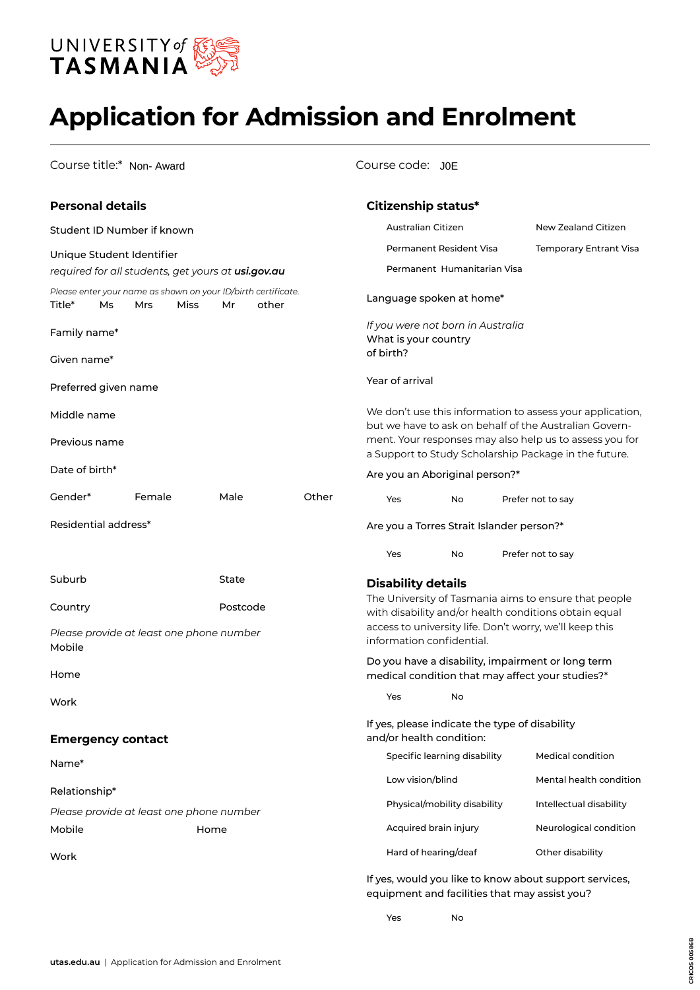

# **Application for Admission and Enrolment**

Course title:\* Non- Award

#### Course code: J0E

| <b>Personal details</b>                                                       |        |      |          |       |       |                                                   | Citizenship status*                                                        |    |                     |                                                                                                                     |  |  |
|-------------------------------------------------------------------------------|--------|------|----------|-------|-------|---------------------------------------------------|----------------------------------------------------------------------------|----|---------------------|---------------------------------------------------------------------------------------------------------------------|--|--|
| Student ID Number if known                                                    |        |      |          |       |       | Australian Citizen                                |                                                                            |    | New Zealand Citizen |                                                                                                                     |  |  |
| Unique Student Identifier                                                     |        |      |          |       |       | Permanent Resident Visa<br>Temporary Entrant Visa |                                                                            |    |                     |                                                                                                                     |  |  |
| required for all students, get yours at usi.gov.au                            |        |      |          |       |       | Permanent Humanitarian Visa                       |                                                                            |    |                     |                                                                                                                     |  |  |
| Please enter your name as shown on your ID/birth certificate.<br>Title*<br>Ms | Mrs    | Miss | Мr       | other |       |                                                   | Language spoken at home*                                                   |    |                     |                                                                                                                     |  |  |
| Family name*                                                                  |        |      |          |       |       | of birth?                                         | If you were not born in Australia<br>What is your country                  |    |                     |                                                                                                                     |  |  |
| Given name*                                                                   |        |      |          |       |       |                                                   |                                                                            |    |                     |                                                                                                                     |  |  |
| Preferred given name                                                          |        |      |          |       |       |                                                   | Year of arrival                                                            |    |                     |                                                                                                                     |  |  |
| Middle name                                                                   |        |      |          |       |       |                                                   |                                                                            |    |                     | We don't use this information to assess your application,<br>but we have to ask on behalf of the Australian Govern- |  |  |
| Previous name                                                                 |        |      |          |       |       |                                                   |                                                                            |    |                     | ment. Your responses may also help us to assess you for<br>a Support to Study Scholarship Package in the future.    |  |  |
| Date of birth*                                                                |        |      |          |       |       |                                                   | Are you an Aboriginal person?*                                             |    |                     |                                                                                                                     |  |  |
| Gender*                                                                       | Female |      | Male     |       | Other |                                                   | Yes                                                                        | No |                     | Prefer not to say                                                                                                   |  |  |
| Residential address*                                                          |        |      |          |       |       |                                                   | Are you a Torres Strait Islander person?*                                  |    |                     |                                                                                                                     |  |  |
|                                                                               |        |      |          |       |       |                                                   | Yes                                                                        | No |                     | Prefer not to say                                                                                                   |  |  |
| Suburb                                                                        |        |      | State    |       |       |                                                   | <b>Disability details</b>                                                  |    |                     |                                                                                                                     |  |  |
| Country                                                                       |        |      | Postcode |       |       |                                                   |                                                                            |    |                     | The University of Tasmania aims to ensure that people<br>with disability and/or health conditions obtain equal      |  |  |
| Please provide at least one phone number<br>Mobile                            |        |      |          |       |       |                                                   | information confidential.                                                  |    |                     | access to university life. Don't worry, we'll keep this                                                             |  |  |
| Home                                                                          |        |      |          |       |       |                                                   |                                                                            |    |                     | Do you have a disability, impairment or long term<br>medical condition that may affect your studies?*               |  |  |
| Work                                                                          |        |      |          |       |       |                                                   | Yes                                                                        | No |                     |                                                                                                                     |  |  |
| <b>Emergency contact</b>                                                      |        |      |          |       |       |                                                   | If yes, please indicate the type of disability<br>and/or health condition: |    |                     |                                                                                                                     |  |  |
| Name*                                                                         |        |      |          |       |       |                                                   | Specific learning disability                                               |    |                     | Medical condition                                                                                                   |  |  |
|                                                                               |        |      |          |       |       |                                                   | Low vision/blind                                                           |    |                     | Mental health condition                                                                                             |  |  |
| Relationship*                                                                 |        |      |          |       |       |                                                   | Physical/mobility disability                                               |    |                     | Intellectual disability                                                                                             |  |  |
| Please provide at least one phone number<br>Mobile                            |        | Home |          |       |       |                                                   | Acquired brain injury                                                      |    |                     | Neurological condition                                                                                              |  |  |
|                                                                               |        |      |          |       |       |                                                   | Hard of hearing/deaf                                                       |    |                     | Other disability                                                                                                    |  |  |
| Work                                                                          |        |      |          |       |       |                                                   |                                                                            |    |                     |                                                                                                                     |  |  |
|                                                                               |        |      |          |       |       |                                                   |                                                                            |    |                     | If yes, would you like to know about support services,<br>equipment and facilities that may assist you?             |  |  |

**CRICOS 00586B**

CRICOS 00586B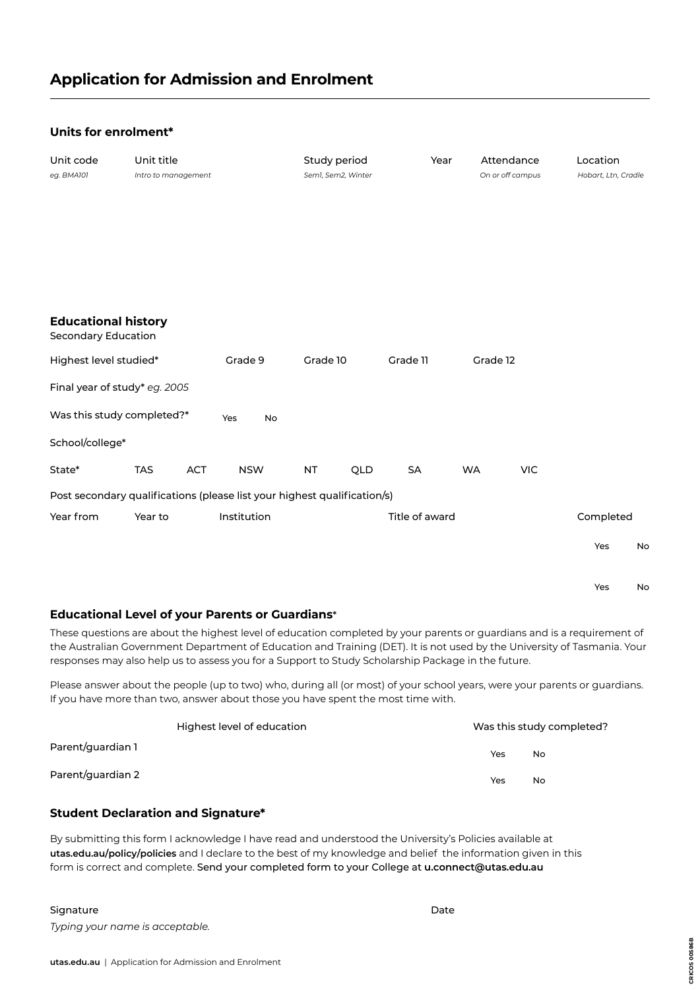#### **Units for enrolment\***

| Unit code<br>eg. BMA101                                                  | Unit title<br>Intro to management |     |             |           | Study period<br>Sem1, Sem2, Winter |     |                | Year |           | Attendance<br>On or off campus | Location<br>Hobart, Ltn, Cradle |    |
|--------------------------------------------------------------------------|-----------------------------------|-----|-------------|-----------|------------------------------------|-----|----------------|------|-----------|--------------------------------|---------------------------------|----|
| <b>Educational history</b><br><b>Secondary Education</b>                 |                                   |     |             |           |                                    |     |                |      |           |                                |                                 |    |
| Highest level studied*                                                   |                                   |     | Grade 9     |           | Grade 10                           |     | Grade 11       |      | Grade 12  |                                |                                 |    |
| Final year of study* eg. 2005                                            |                                   |     |             |           |                                    |     |                |      |           |                                |                                 |    |
| Was this study completed?*                                               |                                   |     | Yes         | <b>No</b> |                                    |     |                |      |           |                                |                                 |    |
| School/college*                                                          |                                   |     |             |           |                                    |     |                |      |           |                                |                                 |    |
| State*                                                                   | <b>TAS</b>                        | ACT | <b>NSW</b>  |           | NT                                 | QLD | SA             |      | <b>WA</b> | <b>VIC</b>                     |                                 |    |
| Post secondary qualifications (please list your highest qualification/s) |                                   |     |             |           |                                    |     |                |      |           |                                |                                 |    |
| Year from                                                                | Year to                           |     | Institution |           |                                    |     | Title of award |      |           |                                | Completed                       |    |
|                                                                          |                                   |     |             |           |                                    |     |                |      |           |                                | Yes                             | No |
|                                                                          |                                   |     |             |           |                                    |     |                |      |           |                                |                                 |    |
|                                                                          |                                   |     |             |           |                                    |     |                |      |           |                                | Yes                             | No |

#### **Educational Level of your Parents or Guardians**\*

These questions are about the highest level of education completed by your parents or guardians and is a requirement of the Australian Government Department of Education and Training (DET). It is not used by the University of Tasmania. Your responses may also help us to assess you for a Support to Study Scholarship Package in the future.

Please answer about the people (up to two) who, during all (or most) of your school years, were your parents or guardians. If you have more than two, answer about those you have spent the most time with.

|                   | Highest level of education |     | Was this study completed? |
|-------------------|----------------------------|-----|---------------------------|
| Parent/guardian 1 |                            | Yes | No                        |
| Parent/guardian 2 |                            | Yes | No.                       |

#### **Student Declaration and Signature\***

By submitting this form I acknowledge I have read and understood the University's Policies available at **[utas.edu.au/policy/policies](http://utas.edu.au/policy/policies)** and I declare to the best of my knowledge and belief the information given in this form is correct and complete. Send your completed form to your College at **[u.connect@utas.edu.au](mailto:u.connect%40utas.edu.au?subject=)**

#### Signature Date Date of the Date of the Date of the Date of the Date of the Date of the Date of the Date of the Date of the Date of the Date of the Date of the Date of the Date of the Date of the Date of the Date of the Dat *Typing your name is acceptable.*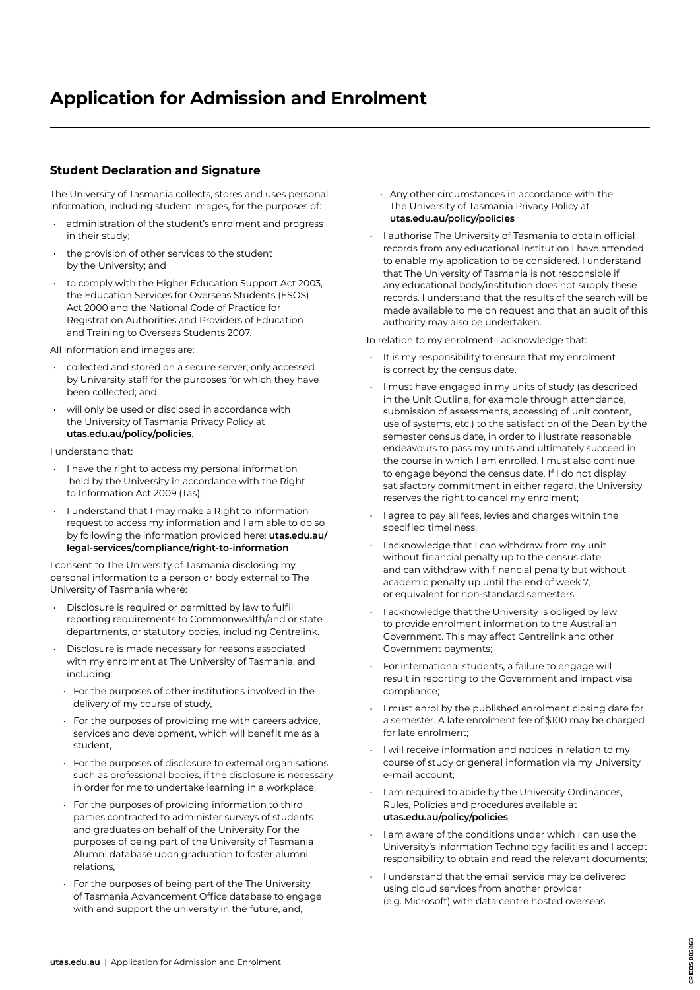### **Application for Admission and Enrolment**

#### **Student Declaration and Signature**

The University of Tasmania collects, stores and uses personal information, including student images, for the purposes of:

- administration of the student's enrolment and progress in their study;
- the provision of other services to the student by the University; and
- to comply with the Higher Education Support Act 2003, the Education Services for Overseas Students (ESOS) Act 2000 and the National Code of Practice for Registration Authorities and Providers of Education and Training to Overseas Students 2007.
- All information and images are:
- collected and stored on a secure server;·only accessed by University staff for the purposes for which they have been collected; and
- will only be used or disclosed in accordance with the University of Tasmania Privacy Policy at **[utas.edu.au/policy/policies](http://utas.edu.au/policy/policies)**.

#### I understand that:

- I have the right to access my personal information held by the University in accordance with the Right to Information Act 2009 (Tas);
- I understand that I may make a Right to Information request to access my information and I am able to do so by following the information provided here: **[utas.edu.au/](http://utas.edu.au/legal-services/compliance/right-to-information) [legal-services/compliance/right-to-information](http://utas.edu.au/legal-services/compliance/right-to-information)**

I consent to The University of Tasmania disclosing my personal information to a person or body external to The University of Tasmania where:

- Disclosure is required or permitted by law to fulfil reporting requirements to Commonwealth/and or state departments, or statutory bodies, including Centrelink.
- Disclosure is made necessary for reasons associated with my enrolment at The University of Tasmania, and including:
	- For the purposes of other institutions involved in the delivery of my course of study,
- For the purposes of providing me with careers advice, services and development, which will benefit me as a student,
- For the purposes of disclosure to external organisations such as professional bodies, if the disclosure is necessary in order for me to undertake learning in a workplace,
- For the purposes of providing information to third parties contracted to administer surveys of students and graduates on behalf of the University For the purposes of being part of the University of Tasmania Alumni database upon graduation to foster alumni relations,
- For the purposes of being part of the The University of Tasmania Advancement Office database to engage with and support the university in the future, and,
- Any other circumstances in accordance with the The University of Tasmania Privacy Policy at **[utas.edu.au/policy/policies](http://utas.edu.au/policy/policies)**
- I authorise The University of Tasmania to obtain official records from any educational institution I have attended to enable my application to be considered. I understand that The University of Tasmania is not responsible if any educational body/institution does not supply these records. I understand that the results of the search will be made available to me on request and that an audit of this authority may also be undertaken.

In relation to my enrolment I acknowledge that:

- It is my responsibility to ensure that my enrolment is correct by the census date.
- I must have engaged in my units of study (as described in the Unit Outline, for example through attendance, submission of assessments, accessing of unit content, use of systems, etc.) to the satisfaction of the Dean by the semester census date, in order to illustrate reasonable endeavours to pass my units and ultimately succeed in the course in which I am enrolled. I must also continue to engage beyond the census date. If I do not display satisfactory commitment in either regard, the University reserves the right to cancel my enrolment;
- I agree to pay all fees, levies and charges within the specified timeliness;
- I acknowledge that I can withdraw from my unit without financial penalty up to the census date, and can withdraw with financial penalty but without academic penalty up until the end of week 7, or equivalent for non-standard semesters;
- I acknowledge that the University is obliged by law to provide enrolment information to the Australian Government. This may affect Centrelink and other Government payments;
- For international students, a failure to engage will result in reporting to the Government and impact visa compliance;
- I must enrol by the published enrolment closing date for a semester. A late enrolment fee of \$100 may be charged for late enrolment;
- I will receive information and notices in relation to my course of study or general information via my University e-mail account;
- I am required to abide by the University Ordinances, Rules, Policies and procedures available at **[utas.edu.au/policy/policies](http://utas.edu.au/policy/policies)**;
- I am aware of the conditions under which I can use the University's Information Technology facilities and I accept responsibility to obtain and read the relevant documents;

**CRICOS 00586B**

CRICOS 00586B

• I understand that the email service may be delivered using cloud services from another provider (e.g. Microsoft) with data centre hosted overseas.